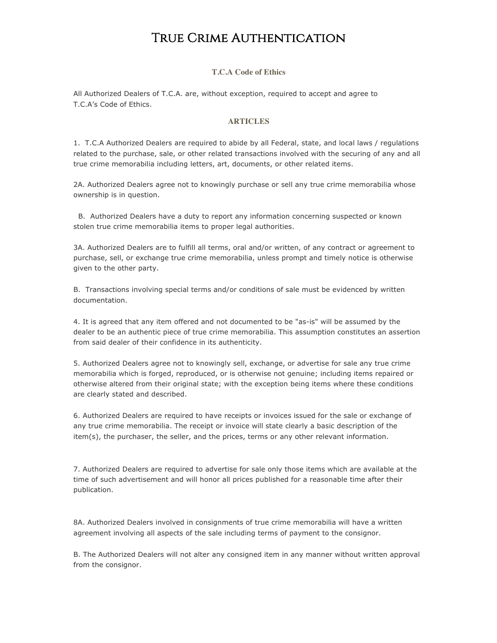### True Crime Authentication

#### **T.C.A Code of Ethics**

All Authorized Dealers of T.C.A. are, without exception, required to accept and agree to T.C.A's Code of Ethics.

#### **ARTICLES**

1. T.C.A Authorized Dealers are required to abide by all Federal, state, and local laws / regulations related to the purchase, sale, or other related transactions involved with the securing of any and all true crime memorabilia including letters, art, documents, or other related items.

2A. Authorized Dealers agree not to knowingly purchase or sell any true crime memorabilia whose ownership is in question.

B. Authorized Dealers have a duty to report any information concerning suspected or known stolen true crime memorabilia items to proper legal authorities.

3A. Authorized Dealers are to fulfill all terms, oral and/or written, of any contract or agreement to purchase, sell, or exchange true crime memorabilia, unless prompt and timely notice is otherwise given to the other party.

B. Transactions involving special terms and/or conditions of sale must be evidenced by written documentation.

4. It is agreed that any item offered and not documented to be "as-is" will be assumed by the dealer to be an authentic piece of true crime memorabilia. This assumption constitutes an assertion from said dealer of their confidence in its authenticity.

5. Authorized Dealers agree not to knowingly sell, exchange, or advertise for sale any true crime memorabilia which is forged, reproduced, or is otherwise not genuine; including items repaired or otherwise altered from their original state; with the exception being items where these conditions are clearly stated and described.

6. Authorized Dealers are required to have receipts or invoices issued for the sale or exchange of any true crime memorabilia. The receipt or invoice will state clearly a basic description of the item(s), the purchaser, the seller, and the prices, terms or any other relevant information.

7. Authorized Dealers are required to advertise for sale only those items which are available at the time of such advertisement and will honor all prices published for a reasonable time after their publication.

8A. Authorized Dealers involved in consignments of true crime memorabilia will have a written agreement involving all aspects of the sale including terms of payment to the consignor.

B. The Authorized Dealers will not alter any consigned item in any manner without written approval from the consignor.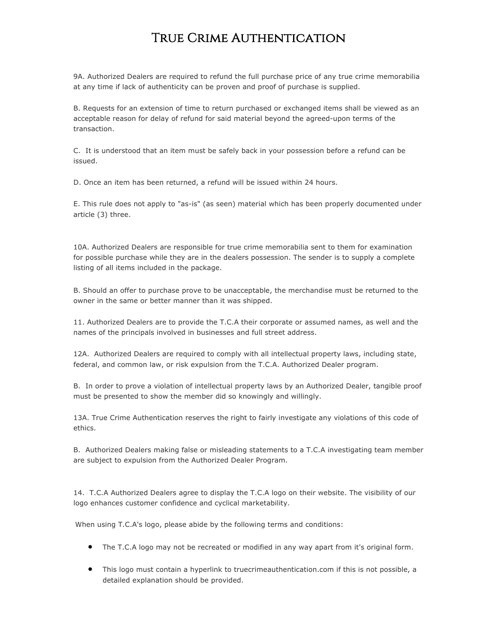## True Crime Authentication

9A. Authorized Dealers are required to refund the full purchase price of any true crime memorabilia at any time if lack of authenticity can be proven and proof of purchase is supplied.

B. Requests for an extension of time to return purchased or exchanged items shall be viewed as an acceptable reason for delay of refund for said material beyond the agreed-upon terms of the transaction.

C. It is understood that an item must be safely back in your possession before a refund can be issued.

D. Once an item has been returned, a refund will be issued within 24 hours.

E. This rule does not apply to "as-is" (as seen) material which has been properly documented under article (3) three.

10A. Authorized Dealers are responsible for true crime memorabilia sent to them for examination for possible purchase while they are in the dealers possession. The sender is to supply a complete listing of all items included in the package.

B. Should an offer to purchase prove to be unacceptable, the merchandise must be returned to the owner in the same or better manner than it was shipped.

11. Authorized Dealers are to provide the T.C.A their corporate or assumed names, as well and the names of the principals involved in businesses and full street address.

12A. Authorized Dealers are required to comply with all intellectual property laws, including state, federal, and common law, or risk expulsion from the T.C.A. Authorized Dealer program.

B. In order to prove a violation of intellectual property laws by an Authorized Dealer, tangible proof must be presented to show the member did so knowingly and willingly.

13A. True Crime Authentication reserves the right to fairly investigate any violations of this code of ethics.

B. Authorized Dealers making false or misleading statements to a T.C.A investigating team member are subject to expulsion from the Authorized Dealer Program.

14. T.C.A Authorized Dealers agree to display the T.C.A logo on their website. The visibility of our logo enhances customer confidence and cyclical marketability.

When using T.C.A's logo, please abide by the following terms and conditions:

- The T.C.A logo may not be recreated or modified in any way apart from it's original form.
- This logo must contain a hyperlink to truecrimeauthentication.com if this is not possible, a detailed explanation should be provided.